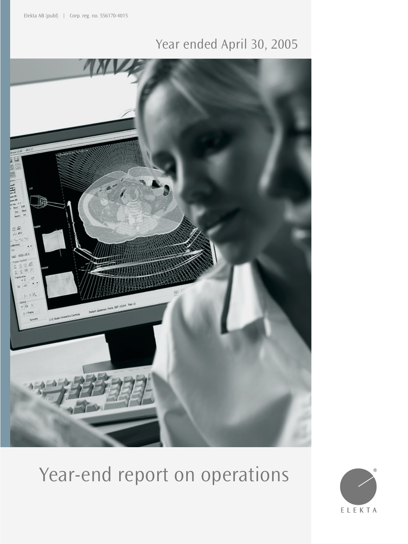## Year ended April 30, 2005



# Year-end report on operations

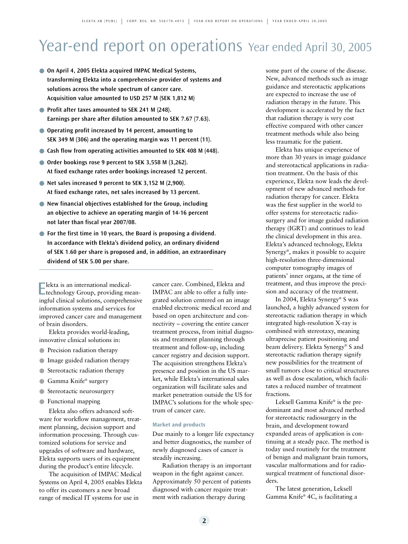## Year-end report on operations Year ended April 30, 2005

- On April 4, 2005 Elekta acquired IMPAC Medical Systems, **transforming Elekta into a comprehensive provider of systems and solutions across the whole spectrum of cancer care. Acquisition value amounted to USD 257 M (SEK 1,812 M)**
- **Profit after taxes amounted to SEK 241 M (248). Earnings per share after dilution amounted to SEK 7.67 (7.63).**
- **Operating profit increased by 14 percent, amounting to SEK 349 M (306) and the operating margin was 11 percent (11).**
- Cash flow from operating activities amounted to SEK 408 M (448).
- **Order bookings rose 9 percent to SEK 3,558 M (3,262). At fixed exchange rates order bookings increased 12 percent.**
- **Net sales increased 9 percent to SEK 3,152 M (2,900). At fixed exchange rates, net sales increased by 13 percent.**
- **New financial objectives established for the Group, including an objective to achieve an operating margin of 14-16 percent not later than fiscal year 2007/08.**
- For the first time in 10 years, the Board is proposing a dividend. **In accordance with Elekta's dividend policy, an ordinary dividend of SEK 1.60 per share is proposed and, in addition, an extraordinary dividend of SEK 5.00 per share.**

Elekta is an international medical-technology Group, providing meaningful clinical solutions, comprehensive information systems and services for improved cancer care and management of brain disorders.

Elekta provides world-leading, innovative clinical solutions in:

- Precision radiation therapy
- Image guided radiation therapy
- Stereotactic radiation therapy
- Gamma Knife® surgery
- Stereotactic neurosurgery
- Functional mapping

Elekta also offers advanced software for workflow management, treatment planning, decision support and information processing. Through customized solutions for service and upgrades of software and hardware, Elekta supports users of its equipment during the product's entire lifecycle.

The acquisition of IMPAC Medical Systems on April 4, 2005 enables Elekta to offer its customers a new broad range of medical IT systems for use in

cancer care. Combined, Elekta and IMPAC are able to offer a fully integrated solution centered on an image enabled electronic medical record and based on open architecture and connectivity – covering the entire cancer treatment process, from initial diagnosis and treatment planning through treatment and follow-up, including cancer registry and decision support. The acquisition strengthens Elekta's presence and position in the US market, while Elekta's international sales organization will facilitate sales and market penetration outside the US for IMPAC's solutions for the whole spectrum of cancer care.

#### **Market and products**

Due mainly to a longer life expectancy and better diagnostics, the number of newly diagnosed cases of cancer is steadily increasing.

Radiation therapy is an important weapon in the fight against cancer. Approximately 50 percent of patients diagnosed with cancer require treatment with radiation therapy during

some part of the course of the disease. New, advanced methods such as image guidance and stereotactic applications are expected to increase the use of radiation therapy in the future. This development is accelerated by the fact that radiation therapy is very cost effective compared with other cancer treatment methods while also being less traumatic for the patient.

Elekta has unique experience of more than 30 years in image guidance and stereotactical applications in radiation treatment. On the basis of this experience, Elekta now leads the development of new advanced methods for radiation therapy for cancer. Elekta was the first supplier in the world to offer systems for stereotactic radiosurgery and for image guided radiation therapy (IGRT) and continues to lead the clinical development in this area. Elekta's advanced technology, Elekta Synergy®, makes it possible to acquire high-resolution three-dimensional computer tomography images of patients' inner organs, at the time of treatment, and thus improve the precision and accuracy of the treatment.

In 2004, Elekta Synergy® S was launched, a highly advanced system for stereotactic radiation therapy in which integrated high-resolution X-ray is combined with stereotaxy, meaning ultraprecise patient positioning and beam delivery. Elekta Synergy® S and stereotactic radiation therapy signify new possibilities for the treatment of small tumors close to critical structures as well as dose escalation, which facilitates a reduced number of treatment fractions.

Leksell Gamma Knife® is the predominant and most advanced method for stereotactic radiosurgery in the brain, and development toward expanded areas of application is continuing at a steady pace. The method is today used routinely for the treatment of benign and malignant brain tumors, vascular malformations and for radiosurgical treatment of functional disorders.

The latest generation, Leksell Gamma Knife® 4C, is facilitating a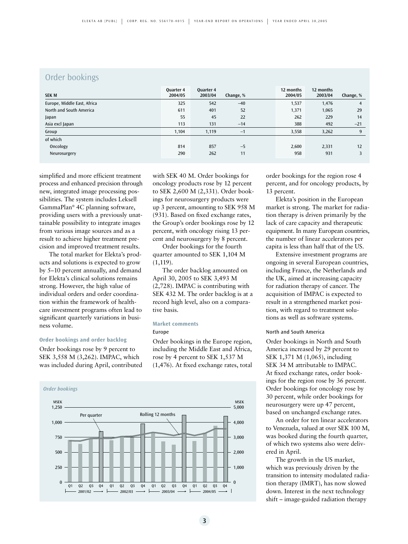## Order bookings

| <b>SEK M</b>                | Quarter 4<br>2004/05 | Quarter 4<br>2003/04 | Change, % | 12 months<br>2004/05 | 12 months<br>2003/04 | Change, % |
|-----------------------------|----------------------|----------------------|-----------|----------------------|----------------------|-----------|
| Europe, Middle East, Africa | 325                  | 542                  | $-40$     | 1,537                | 1,476                | 4         |
| North and South America     | 611                  | 401                  | 52        | 1,371                | 1,065                | 29        |
| Japan                       | 55                   | 45                   | 22        | 262                  | 229                  | 14        |
| Asia excl Japan             | 113                  | 131                  | $-14$     | 388                  | 492                  | $-21$     |
| Group                       | 1.104                | 1,119                | $-1$      | 3,558                | 3,262                | 9         |
| of which                    |                      |                      |           |                      |                      |           |
| Oncology                    | 814                  | 857                  | $-5$      | 2,600                | 2,331                | 12        |
| Neurosurgery                | 290                  | 262                  | 11        | 958                  | 931                  |           |

simplified and more efficient treatment process and enhanced precision through new, integrated image processing possibilities. The system includes Leksell GammaPlan® 4C planning software, providing users with a previously unattainable possibility to integrate images from various image sources and as a result to achieve higher treatment precision and improved treatment results.

The total market for Elekta's products and solutions is expected to grow by 5–10 percent annually, and demand for Elekta's clinical solutions remains strong. However, the high value of individual orders and order coordination within the framework of healthcare investment programs often lead to significant quarterly variations in business volume.

#### **Order bookings and order backlog**

Order bookings rose by 9 percent to SEK 3,558 M (3,262). IMPAC, which was included during April, contributed



Order bookings for the fourth quarter amounted to SEK 1,104 M  $(1,119)$ .

The order backlog amounted on April 30, 2005 to SEK 3,493 M (2,728). IMPAC is contributing with SEK 432 M. The order backlog is at a record high level, also on a comparative basis.

#### **Market comments**

#### Europe

Order bookings in the Europe region, including the Middle East and Africa, rose by 4 percent to SEK 1,537 M (1,476). At fixed exchange rates, total



order bookings for the region rose 4 percent, and for oncology products, by 13 percent.

Elekta's position in the European market is strong. The market for radiation therapy is driven primarily by the lack of care capacity and therapeutic equipment. In many European countries, the number of linear accelerators per capita is less than half that of the US.

Extensive investment programs are ongoing in several European countries, including France, the Netherlands and the UK, aimed at increasing capacity for radiation therapy of cancer. The acquisition of IMPAC is expected to result in a strengthened market position, with regard to treatment solutions as well as software systems.

#### North and South America

Order bookings in North and South America increased by 29 percent to SEK 1,371 M (1,065), including SEK 34 M attributable to IMPAC. At fixed exchange rates, order bookings for the region rose by 36 percent. Order bookings for oncology rose by 30 percent, while order bookings for neurosurgery were up 47 percent, based on unchanged exchange rates.

An order for ten linear accelerators to Venezuela, valued at over SEK 100 M, was booked during the fourth quarter, of which two systems also were delivered in April.

The growth in the US market, which was previously driven by the transition to intensity modulated radiation therapy (IMRT), has now slowed down. Interest in the next technology shift – image-guided radiation therapy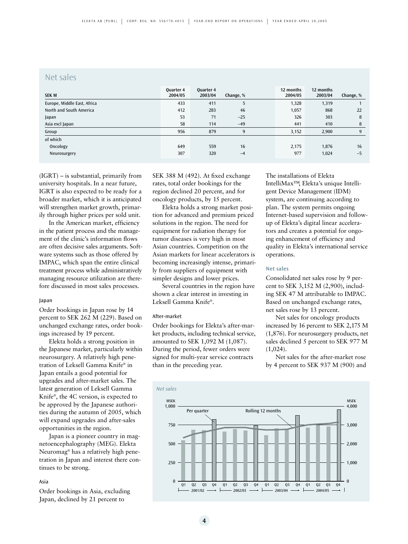### Net sales

| <b>SEK M</b>                | <b>Ouarter 4</b><br>2004/05 | Quarter 4<br>2003/04 | Change, % | 12 months<br>2004/05 | 12 months<br>2003/04 | Change, % |
|-----------------------------|-----------------------------|----------------------|-----------|----------------------|----------------------|-----------|
| Europe, Middle East, Africa | 433                         | 411                  | 5         | 1,328                | 1,319                |           |
| North and South America     | 412                         | 283                  | 46        | 1,057                | 868                  | 22        |
| Japan                       | 53                          | 71                   | $-25$     | 326                  | 303                  | 8         |
| Asia excl Japan             | 58                          | 114                  | $-49$     | 441                  | 410                  | 8         |
| Group                       | 956                         | 879                  | 9         | 3,152                | 2,900                | 9         |
| of which                    |                             |                      |           |                      |                      |           |
| Oncology                    | 649                         | 559                  | 16        | 2.175                | 1.876                | 16        |
| Neurosurgery                | 307                         | 320                  | $-4$      | 977                  | 1,024                | $-5$      |

(IGRT) – is substantial, primarily from university hospitals. In a near future, IGRT is also expected to be ready for a broader market, which it is anticipated will strengthen market growth, primarily through higher prices per sold unit.

In the American market, efficiency in the patient process and the management of the clinic's information flows are often decisive sales arguments. Software systems such as those offered by IMPAC, which span the entire clinical treatment process while administratively managing resource utilization are therefore discussed in most sales processes.

#### Japan

Order bookings in Japan rose by 14 percent to SEK 262 M (229). Based on unchanged exchange rates, order bookings increased by 19 percent.

Elekta holds a strong position in the Japanese market, particularly within neurosurgery. A relatively high penetration of Leksell Gamma Knife® in Japan entails a good potential for upgrades and after-market sales. The latest generation of Leksell Gamma Knife®, the 4C version, is expected to be approved by the Japanese authorities during the autumn of 2005, which will expand upgrades and after-sales opportunities in the region.

Japan is a pioneer country in magnetoencephalography (MEG). Elekta Neuromag® has a relatively high penetration in Japan and interest there continues to be strong.

#### Asia

Order bookings in Asia, excluding Japan, declined by 21 percent to

SEK 388 M (492). At fixed exchange rates, total order bookings for the region declined 20 percent, and for oncology products, by 15 percent.

Elekta holds a strong market position for advanced and premium priced solutions in the region. The need for equipment for radiation therapy for tumor diseases is very high in most Asian countries. Competition on the Asian markets for linear accelerators is becoming increasingly intense, primarily from suppliers of equipment with simpler designs and lower prices.

Several countries in the region have shown a clear interest in investing in Leksell Gamma Knife®.

#### After-market

Order bookings for Elekta's after-market products, including technical service, amounted to SEK 1,092 M (1,087). During the period, fewer orders were signed for multi-year service contracts than in the preceding year.

The installations of Elekta IntelliMax™, Elekta's unique Intelligent Device Management (IDM) system, are continuing according to plan. The system permits ongoing Internet-based supervision and followup of Elekta's digital linear accelerators and creates a potential for ongoing enhancement of efficiency and quality in Elekta's international service operations.

#### **Net sales**

Consolidated net sales rose by 9 percent to SEK 3,152 M (2,900), including SEK 47 M attributable to IMPAC. Based on unchanged exchange rates, net sales rose by 13 percent.

Net sales for oncology products increased by 16 percent to SEK 2,175 M (1,876). For neurosurgery products, net sales declined 5 percent to SEK 977 M (1,024).

Net sales for the after-market rose by 4 percent to SEK 937 M (900) and

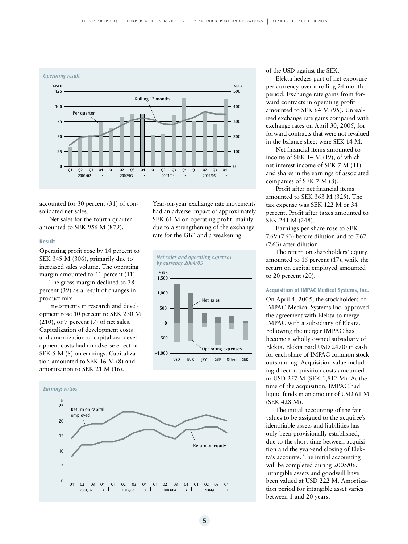

accounted for 30 percent (31) of consolidated net sales.

Net sales for the fourth quarter amounted to SEK 956 M (879).

#### **Result**

Operating profit rose by 14 percent to SEK 349 M (306), primarily due to increased sales volume. The operating margin amounted to 11 percent (11).

The gross margin declined to 38 percent (39) as a result of changes in product mix.

Investments in research and development rose 10 percent to SEK 230 M  $(210)$ , or 7 percent  $(7)$  of net sales. Capitalization of development costs and amortization of capitalized development costs had an adverse effect of SEK 5 M (8) on earnings. Capitalization amounted to SEK 16 M (8) and amortization to SEK 21 M (16).

Year-on-year exchange rate movements had an adverse impact of approximately SEK 61 M on operating profit, mainly due to a strengthening of the exchange rate for the GBP and a weakening





of the USD against the SEK.

Elekta hedges part of net exposure per currency over a rolling 24 month period. Exchange rate gains from forward contracts in operating profit amounted to SEK 64 M (95). Unrealized exchange rate gains compared with exchange rates on April 30, 2005, for forward contracts that were not revalued in the balance sheet were SEK 14 M.

Net financial items amounted to income of SEK 14 M (19), of which net interest income of SEK 7 M (11) and shares in the earnings of associated companies of SEK 7 M (8).

Profit after net financial items amounted to SEK 363 M (325). The tax expense was SEK 122 M or 34 percent. Profit after taxes amounted to SEK 241 M (248).

Earnings per share rose to SEK 7.69 (7.63) before dilution and to 7.67 (7.63) after dilution.

The return on shareholders' equity amounted to 16 percent (17), while the return on capital employed amounted to 20 percent (20).

#### **Acquisition of IMPAC Medical Systems, Inc.**

On April 4, 2005, the stockholders of IMPAC Medical Systems Inc. approved the agreement with Elekta to merge IMPAC with a subsidiary of Elekta. Following the merger IMPAC has become a wholly owned subsidiary of Elekta. Elekta paid USD 24.00 in cash for each share of IMPAC common stock outstanding. Acquisition value including direct acquisition costs amounted to USD 257 M (SEK 1,812 M). At the time of the acquisition, IMPAC had liquid funds in an amount of USD 61 M (SEK 428 M).

The initial accounting of the fair values to be assigned to the acquiree's identifiable assets and liabilities has only been provisionally established, due to the short time between acquisition and the year-end closing of Elekta's accounts. The initial accounting will be completed during 2005/06. Intangible assets and goodwill have been valued at USD 222 M. Amortization period for intangible asset varies between 1 and 20 years.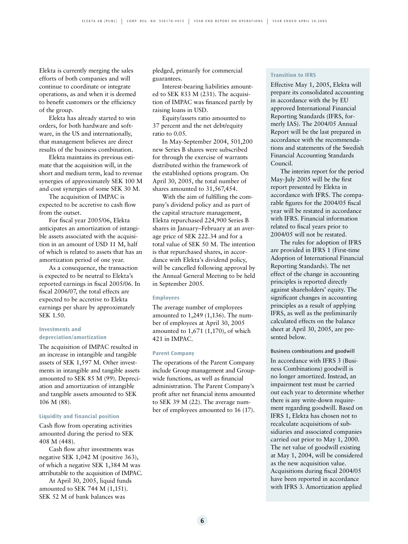Elekta is currently merging the sales efforts of both companies and will continue to coordinate or integrate operations, as and when it is deemed to benefit customers or the efficiency of the group.

Elekta has already started to win orders, for both hardware and software, in the US and internationally, that management believes are direct results of the business combination.

Elekta maintains its previous estimate that the acquisition will, in the short and medium term, lead to revenue synergies of approximately SEK 100 M and cost synergies of some SEK 30 M.

The acquisition of IMPAC is expected to be accretive to cash flow from the outset.

For fiscal year 2005/06, Elekta anticipates an amortization of intangible assets associated with the acquisition in an amount of USD 11 M, half of which is related to assets that has an amortization period of one year.

As a consequence, the transaction is expected to be neutral to Elekta's reported earnings in fiscal 2005/06. In fiscal 2006/07, the total effects are expected to be accretive to Elekta earnings per share by approximately SEK 1.50.

#### **Investments and depreciation/amortization**

The acquisition of IMPAC resulted in an increase in intangible and tangible assets of SEK 1,597 M. Other investments in intangible and tangible assets amounted to SEK 85 M (99). Depreciation and amortization of intangible and tangible assets amounted to SEK 106 M (88).

#### **Liquidity and financial position**

Cash flow from operating activities amounted during the period to SEK 408 M (448).

Cash flow after investments was negative SEK 1,042 M (positive 363), of which a negative SEK 1,384 M was attributable to the acquisition of IMPAC.

At April 30, 2005, liquid funds amounted to SEK 744 M (1,151). SEK 52 M of bank balances was

pledged, primarily for commercial guarantees.

Interest-bearing liabilities amounted to SEK 833 M (231). The acquisition of IMPAC was financed partly by raising loans in USD.

Equity/assets ratio amounted to 37 percent and the net debt/equity ratio to 0.05.

In May-September 2004, 501,200 new Series B shares were subscribed for through the exercise of warrants distributed within the framework of the established options program. On April 30, 2005, the total number of shares amounted to 31,567,454.

With the aim of fulfilling the company's dividend policy and as part of the capital structure management, Elekta repurchased 224,900 Series B shares in January–February at an average price of SEK 222.34 and for a total value of SEK 50 M. The intention is that repurchased shares, in accordance with Elekta's dividend policy, will be cancelled following approval by the Annual General Meeting to be held in September 2005.

#### **Employees**

The average number of employees amounted to 1,249 (1,136). The number of employees at April 30, 2005 amounted to 1,671 (1,170), of which 421 in IMPAC.

#### **Parent Company**

The operations of the Parent Company include Group management and Groupwide functions, as well as financial administration. The Parent Company's profit after net financial items amounted to SEK 39 M (22). The average number of employees amounted to 16 (17).

#### **Transition to IFRS**

Effective May 1, 2005, Elekta will prepare its consolidated accounting in accordance with the by EU approved International Financial Reporting Standards (IFRS, formerly IAS). The 2004/05 Annual Report will be the last prepared in accordance with the recommendations and statements of the Swedish Financial Accounting Standards Council.

The interim report for the period May-July 2005 will be the first report presented by Elekta in accordance with IFRS. The comparable figures for the 2004/05 fiscal year will be restated in accordance with IFRS. Financial information related to fiscal years prior to 2004/05 will not be restated.

The rules for adoption of IFRS are provided in IFRS 1 (First-time Adoption of International Financial Reporting Standards). The net effect of the change in accounting principles is reported directly against shareholders' equity. The significant changes in accounting principles as a result of applying IFRS, as well as the preliminarily calculated effects on the balance sheet at April 30, 2005, are presented below.

#### Business combinations and goodwill

In accordance with IFRS 3 (Business Combinations) goodwill is no longer amortized. Instead, an impairment test must be carried out each year to determine whether there is any write-down requirement regarding goodwill. Based on IFRS 1, Elekta has chosen not to recalculate acquisitions of subsidiaries and associated companies carried out prior to May 1, 2000. The net value of goodwill existing at May 1, 2004, will be considered as the new acquisition value. Acquisitions during fiscal 2004/05 have been reported in accordance with IFRS 3. Amortization applied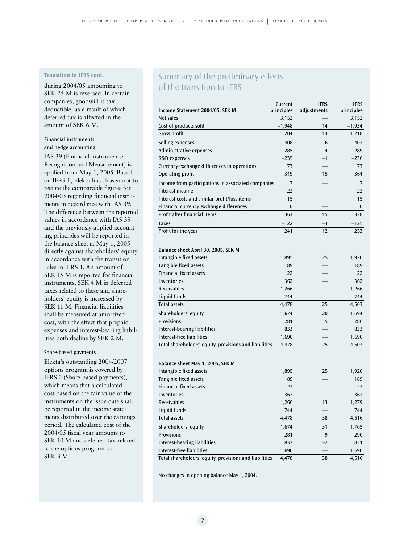### **Transition to IFRS cont.**

during 2004/05 amounting to SEK 25 M is reversed. In certain companies, goodwill is tax deductible, as a result of which deferred tax is affected in the amount of SEK 6 M.

#### Financial instruments and hedge accounting

IAS 39 (Financial Instruments: Recognition and Measurement) is applied from May 1, 2005. Based on IFRS 1, Elekta has chosen not to restate the comparable figures for 2004/05 regarding financial instruments in accordance with IAS 39. The difference between the reported values in accordance with IAS 39 and the previously applied accounting principles will be reported in the balance sheet at May 1, 2005 directly against shareholders' equity in accordance with the transition rules in IFRS 1. An amount of SEK 15 M is reported for financial instruments, SEK 4 M in deferred taxes related to these and shareholders' equity is increased by SEK 11 M. Financial liabilities shall be measured at amortized cost, with the effect that prepaid expenses and interest-bearing liabilities both decline by SEK 2 M.

#### Share-based payments

Elekta's outstanding 2004/2007 options program is covered by IFRS 2 (Share-based payments), which means that a calculated cost based on the fair value of the instruments on the issue date shall be reported in the income statements distributed over the earnings period. The calculated cost of the 2004/05 fiscal year amounts to SEK 10 M and deferred tax related to the options program to SEK 3 M.

## Summary of the preliminary effects of the transition to IFRS

|                                                        | Current             | <b>IFRS</b> | <b>IFRS</b>  |
|--------------------------------------------------------|---------------------|-------------|--------------|
| Income Statement 2004/05, SEK M                        | principles<br>3,152 | adjustments | principles   |
| Net sales                                              |                     |             | 3,152        |
| Cost of products sold                                  | $-1,948$            | 14<br>14    | $-1,934$     |
| Gross profit                                           | 1,204               |             | 1,218        |
| Selling expenses                                       | $-408$              | 6           | $-402$       |
| Administrative expenses                                | $-285$              | $-4$        | $-289$       |
| R&D expenses                                           | $-235$              | $-1$        | $-236$       |
| Currency exchange differences in operations            | 73                  |             | 73           |
| Operating profit                                       | 349                 | 15          | 364          |
| Income from participations in associated companies     | 7                   |             | 7            |
| Interest income                                        | 22                  |             | 22           |
| Interest costs and similar profit/loss items           | $-15$               |             | $-15$        |
| Financial currency exchange differences                | 0                   |             | 0            |
| Profit after financial items                           | 363                 | 15          | 378          |
| <b>Taxes</b>                                           | $-122$              | -3          | –125         |
| Profit for the year                                    | 241                 | 12          | 253          |
|                                                        |                     |             |              |
| Balance sheet April 30, 2005, SEK M                    |                     |             |              |
| Intangible fixed assets                                | 1,895               | 25          | 1,920        |
| Tangible fixed assets                                  | 189                 |             | 189          |
| <b>Financial fixed assets</b>                          | 22                  |             | 22           |
| Inventories                                            | 362                 |             | 362          |
| <b>Receivables</b>                                     | 1,266               |             | 1,266        |
| Liquid funds                                           | 744                 |             | 744          |
| <b>Total assets</b>                                    | 4,478               | 25          | 4,503        |
| Shareholders' equity                                   | 1,674               | 20          | 1,694        |
| <b>Provisions</b>                                      | 281                 | 5           | 286          |
| Interest-bearing liabilities                           | 833                 |             | 833          |
| Interest-free liabilities                              | 1,690               |             | 1,690        |
| Total shareholders' equity, provisions and liabilities | 4,478               | 25          | 4,503        |
|                                                        |                     |             |              |
| Balance sheet May 1, 2005, SEK M                       |                     |             |              |
| Intangible fixed assets                                | 1,895               | 25          | 1,920        |
| Tangible fixed assets                                  | 189                 |             | 189          |
| <b>Financial fixed assets</b>                          | 22                  |             | 22           |
| <b>Inventories</b>                                     | 362                 |             | 362          |
| Receivables                                            | 1,266               | 13          | 1,279        |
| Liquid funds                                           |                     |             |              |
| Total assets                                           | 744<br>4,478        | 38          | 744<br>4,516 |
|                                                        |                     |             |              |
| Shareholders' equity                                   | 1,674               | 31          | 1,705        |
| <b>Provisions</b>                                      | 281                 | 9           | 290          |
| Interest-bearing liabilities                           | 833                 | $-2$        | 831          |
| Interest-free liabilities                              | 1,690               |             | 1,690        |
| Total shareholders' equity, provisions and liabilities | 4,478               | 38          | 4,516        |

No changes in opening balance May 1, 2004.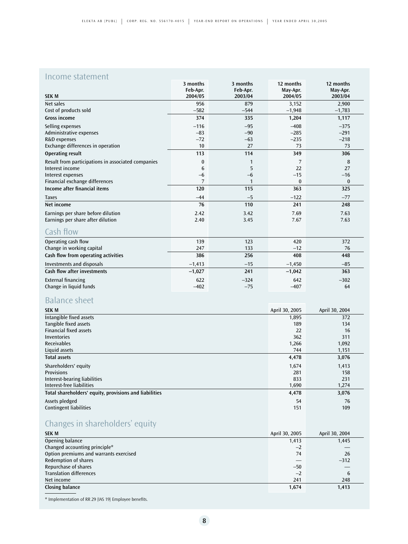## Income statement

|                                                    | 3 months | 3 months | 12 months | 12 months |
|----------------------------------------------------|----------|----------|-----------|-----------|
|                                                    | Feb-Apr. | Feb-Apr. | May-Apr.  | May-Apr.  |
| <b>SEK M</b>                                       | 2004/05  | 2003/04  | 2004/05   | 2003/04   |
| Net sales                                          | 956      | 879      | 3,152     | 2,900     |
| Cost of products sold                              | $-582$   | $-544$   | $-1,948$  | $-1,783$  |
| <b>Gross income</b>                                | 374      | 335      | 1,204     | 1,117     |
| Selling expenses                                   | $-116$   | $-95$    | $-408$    | $-375$    |
| Administrative expenses                            | $-83$    | $-90$    | $-285$    | $-291$    |
| R&D expenses                                       | $-72$    | $-63$    | $-235$    | $-218$    |
| Exchange differences in operation                  | 10       | 27       | 73        | 73        |
| <b>Operating result</b>                            | 113      | 114      | 349       | 306       |
| Result from participations in associated companies | $\bf{0}$ | 1        | 7         | 8         |
| Interest income                                    | 6        | 5        | 22        | 27        |
| Interest expenses                                  | $-6$     | $-6$     | $-15$     | $-16$     |
| Financial exchange differences                     | 7        | 1        | $\bf{0}$  | $\bf{0}$  |
| Income after financial items                       | 120      | 115      | 363       | 325       |
| <b>Taxes</b>                                       | $-44$    | $-5$     | $-122$    | $-77$     |
| Net income                                         | 76       | 110      | 241       | 248       |
| Earnings per share before dilution                 | 2.42     | 3.42     | 7.69      | 7.63      |
| Earnings per share after dilution                  | 2.40     | 3.45     | 7.67      | 7.63      |
| Cash flow                                          |          |          |           |           |
| Operating cash flow                                | 139      | 123      | 420       | 372       |
| Change in working capital                          | 247      | 133      | $-12$     | 76        |
| Cash flow from operating activities                | 386      | 256      | 408       | 448       |
| Investments and disposals                          | $-1,413$ | $-15$    | $-1,450$  | $-85$     |
| <b>Cash flow after investments</b>                 | $-1,027$ | 241      | $-1,042$  | 363       |
| <b>External financing</b>                          | 622      | $-324$   | 642       | $-302$    |
| Change in liquid funds                             | $-402$   | $-75$    | $-407$    | 64        |

## Balance sheet

| <b>SEK M</b>                                           | April 30, 2005 | April 30, 2004 |
|--------------------------------------------------------|----------------|----------------|
| Intangible fixed assets                                | 1,895          | 372            |
| Tangible fixed assets                                  | 189            | 134            |
| <b>Financial fixed assets</b>                          | 22             | 16             |
| Inventories                                            | 362            | 311            |
| <b>Receivables</b>                                     | 1,266          | 1,092          |
| Liquid assets                                          | 744            | 1,151          |
| <b>Total assets</b>                                    | 4,478          | 3,076          |
| Shareholders' equity                                   | 1,674          | 1,413          |
| <b>Provisions</b>                                      | 281            | 158            |
| Interest-bearing liabilities                           | 833            | 231            |
| Interest-free liabilities                              | 1,690          | 1,274          |
| Total shareholders' equity, provisions and liabilities | 4,478          | 3,076          |
| Assets pledged                                         | 54             | 76             |
| <b>Contingent liabilities</b>                          | 151            | 109            |

## Changes in shareholders' equity

| April 30, 2005 | April 30, 2004 |
|----------------|----------------|
| 1,413          | 1,445          |
| $-2$           |                |
| 74             | 26             |
|                | $-312$         |
| $-50$          |                |
| $-2$           | 6              |
| 241            | 248            |
| 1,674          | 1,413          |
|                |                |

\* Implementation of RR 29 (IAS 19) Employee benefits.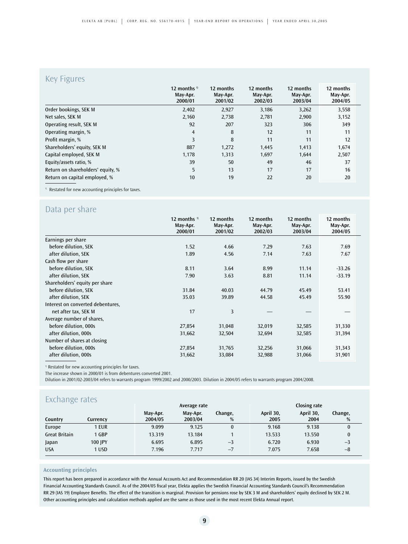### Key Figures

|                                   | 12 months $\frac{1}{1}$<br>May-Apr.<br>2000/01 | 12 months<br>May-Apr.<br>2001/02 | 12 months<br>May-Apr.<br>2002/03 | 12 months<br>May-Apr.<br>2003/04 | 12 months<br>May-Apr.<br>2004/05 |
|-----------------------------------|------------------------------------------------|----------------------------------|----------------------------------|----------------------------------|----------------------------------|
| Order bookings, SEK M             | 2,402                                          | 2,927                            | 3,186                            | 3,262                            | 3,558                            |
| Net sales, SEK M                  | 2,160                                          | 2,738                            | 2,781                            | 2,900                            | 3,152                            |
| Operating result, SEK M           | 92                                             | 207                              | 323                              | 306                              | 349                              |
| Operating margin, %               | $\overline{4}$                                 | 8                                | 12                               | 11                               | 11                               |
| Profit margin, %                  | 3                                              | 8                                | 11                               | 11                               | 12                               |
| Shareholders' equity, SEK M       | 887                                            | 1,272                            | 1,445                            | 1,413                            | 1,674                            |
| Capital employed, SEK M           | 1,178                                          | 1,313                            | 1,697                            | 1,644                            | 2,507                            |
| Equity/assets ratio, %            | 39                                             | 50                               | 49                               | 46                               | 37                               |
| Return on shareholders' equity, % | 5                                              | 13                               | 17                               | 17                               | 16                               |
| Return on capital employed, %     | 10                                             | 19                               | 22                               | 20                               | 20                               |

## Data per share

|                                   | 12 months $\frac{1}{1}$<br>May-Apr. | 12 months<br>May-Apr. | 12 months<br>May-Apr. | 12 months<br>May-Apr. | 12 months<br>May-Apr. |
|-----------------------------------|-------------------------------------|-----------------------|-----------------------|-----------------------|-----------------------|
|                                   | 2000/01                             | 2001/02               | 2002/03               | 2003/04               | 2004/05               |
| Earnings per share                |                                     |                       |                       |                       |                       |
| before dilution, SEK              | 1.52                                | 4.66                  | 7.29                  | 7.63                  | 7.69                  |
| after dilution, SEK               | 1.89                                | 4.56                  | 7.14                  | 7.63                  | 7.67                  |
| Cash flow per share               |                                     |                       |                       |                       |                       |
| before dilution, SEK              | 8.11                                | 3.64                  | 8.99                  | 11.14                 | $-33.26$              |
| after dilution, SEK               | 7.90                                | 3.63                  | 8.81                  | 11.14                 | $-33.19$              |
| Shareholders' equity per share    |                                     |                       |                       |                       |                       |
| before dilution, SEK              | 31.84                               | 40.03                 | 44.79                 | 45.49                 | 53.41                 |
| after dilution, SEK               | 35.03                               | 39.89                 | 44.58                 | 45.49                 | 55.90                 |
| Interest on converted debentures, |                                     |                       |                       |                       |                       |
| net after tax, SEK M              | 17                                  | 3                     |                       |                       |                       |
| Average number of shares,         |                                     |                       |                       |                       |                       |
| before dilution, 000s             | 27,854                              | 31,048                | 32,019                | 32,585                | 31,330                |
| after dilution, 000s              | 31,662                              | 32,504                | 32,694                | 32,585                | 31,394                |
| Number of shares at closing       |                                     |                       |                       |                       |                       |
| before dilution, 000s             | 27,854                              | 31,765                | 32,256                | 31,066                | 31,343                |
| after dilution, 000s              | 31,662                              | 33,084                | 32,988                | 31,066                | 31,901                |

<sup>1)</sup> Restated for new accounting principles for taxes.

The increase shown in 2000/01 is from debentures converted 2001.

Dilution in 2001/02-2003/04 refers to warrants program 1999/2002 and 2000/2003. Dilution in 2004/05 refers to warrants program 2004/2008.

| Exchange rates<br>Closing rate<br>Average rate |          |                     |                     |              |                   |                   |              |  |
|------------------------------------------------|----------|---------------------|---------------------|--------------|-------------------|-------------------|--------------|--|
| Country                                        | Currencv | May-Apr.<br>2004/05 | May-Apr.<br>2003/04 | Change,<br>% | April 30,<br>2005 | April 30,<br>2004 | Change,<br>% |  |
| Europe                                         | 1 EUR    | 9.099               | 9.125               | $\bf{0}$     | 9.168             | 9.138             | 0            |  |
| <b>Great Britain</b>                           | 1 GBP    | 13.319              | 13.184              |              | 13.533            | 13.550            |              |  |
| Japan                                          | 100 IPY  | 6.695               | 6.895               | $-3$         | 6.720             | 6.930             | $-3$         |  |
| <b>USA</b>                                     | 1 USD    | 7.196               | 7.717               | $-7$         | 7.075             | 7.658             | $-8$         |  |

#### **Accounting principles**

This report has been prepared in accordance with the Annual Accounts Act and Recommendation RR 20 (IAS 34) Interim Reports, issued by the Swedish Financial Accounting Standards Council. As of the 2004/05 fiscal year, Elekta applies the Swedish Financial Accounting Standards Council's Recommendation RR 29 (IAS 19) Employee Benefits. The effect of the transition is marginal. Provision for pensions rose by SEK 3 M and shareholders' equity declined by SEK 2 M. Other accounting principles and calculation methods applied are the same as those used in the most recent Elekta Annual report.